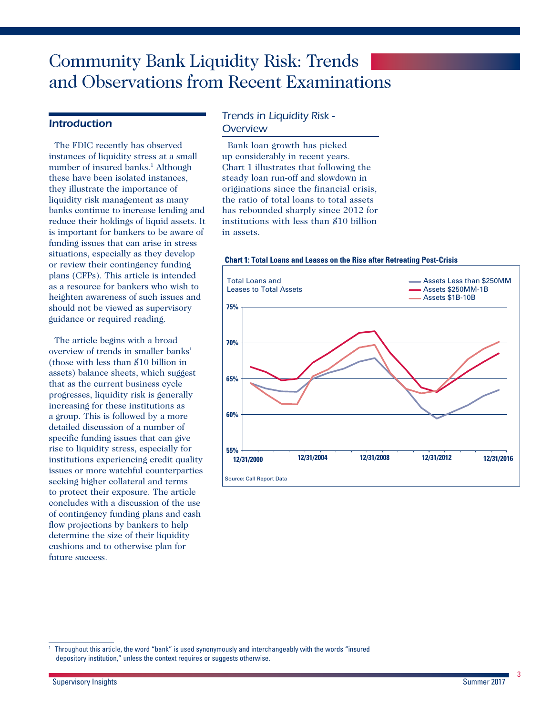# Community Bank Liquidity Risk: Trends and Observations from Recent Examinations

### *Introduction*

The FDIC recently has observed instances of liquidity stress at a small number of insured banks.<sup>1</sup> Although these have been isolated instances, they illustrate the importance of liquidity risk management as many banks continue to increase lending and reduce their holdings of liquid assets. It is important for bankers to be aware of funding issues that can arise in stress situations, especially as they develop or review their contingency funding plans (CFPs). This article is intended as a resource for bankers who wish to heighten awareness of such issues and should not be viewed as supervisory guidance or required reading.

The article begins with a broad overview of trends in smaller banks' (those with less than \$10 billion in assets) balance sheets, which suggest that as the current business cycle progresses, liquidity risk is generally increasing for these institutions as a group. This is followed by a more detailed discussion of a number of specific funding issues that can give rise to liquidity stress, especially for institutions experiencing credit quality issues or more watchful counterparties seeking higher collateral and terms to protect their exposure. The article concludes with a discussion of the use of contingency funding plans and cash flow projections by bankers to help determine the size of their liquidity cushions and to otherwise plan for future success.

### *Trends in Liquidity Risk - Overview*

Bank loan growth has picked up considerably in recent years. Chart 1 illustrates that following the steady loan run-off and slowdown in originations since the financial crisis, the ratio of total loans to total assets has rebounded sharply since 2012 for institutions with less than \$10 billion in assets.

#### **Chart 1: Total Loans and Leases on the Rise after Retreating Post-Crisis**



<sup>1</sup> Throughout this article, the word "bank" is used synonymously and interchangeably with the words "insured depository institution," unless the context requires or suggests otherwise.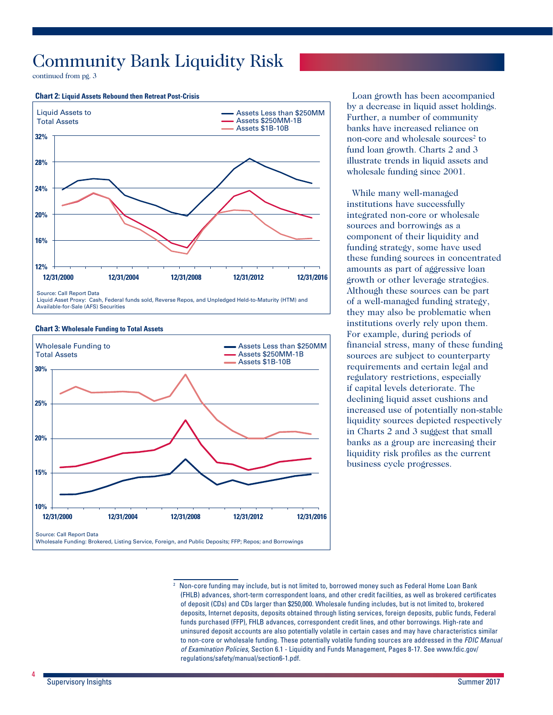continued from pg. 3

#### **Chart 2: Liquid Assets Rebound then Retreat Post-Crisis**



Liquid Asset Proxy: Cash, Federal funds sold, Reverse Repos, and Unpledged Held-to-Maturity (HTM) and Available-for-Sale (AFS) Securities

#### **Chart 3: Wholesale Funding to Total Assets**



Loan growth has been accompanied by a decrease in liquid asset holdings. Further, a number of community banks have increased reliance on non-core and wholesale sources<sup>2</sup> to fund loan growth. Charts 2 and 3 illustrate trends in liquid assets and wholesale funding since 2001.

While many well-managed institutions have successfully integrated non-core or wholesale sources and borrowings as a component of their liquidity and funding strategy, some have used these funding sources in concentrated amounts as part of aggressive loan growth or other leverage strategies. Although these sources can be part of a well-managed funding strategy, they may also be problematic when institutions overly rely upon them. For example, during periods of financial stress, many of these funding sources are subject to counterparty requirements and certain legal and regulatory restrictions, especially if capital levels deteriorate. The declining liquid asset cushions and increased use of potentially non-stable liquidity sources depicted respectively in Charts 2 and 3 suggest that small banks as a group are increasing their liquidity risk profiles as the current business cycle progresses.

<sup>&</sup>lt;sup>2</sup> Non-core funding may include, but is not limited to, borrowed money such as Federal Home Loan Bank (FHLB) advances, short-term correspondent loans, and other credit facilities, as well as brokered certificates of deposit (CDs) and CDs larger than \$250,000. Wholesale funding includes, but is not limited to, brokered deposits, Internet deposits, deposits obtained through listing services, foreign deposits, public funds, Federal funds purchased (FFP), FHLB advances, correspondent credit lines, and other borrowings. High-rate and uninsured deposit accounts are also potentially volatile in certain cases and may have characteristics similar to non-core or wholesale funding. These potentially volatile funding sources are addressed in the *FDIC Manual of Examination Policies*, Section 6.1 - Liquidity and Funds Management, Pages 8-17. See [www.fdic.gov/](http://www.fdic.gov/regulations/safety/manual/section6-1.pdf) [regulations/safety/manual/section6-1.pdf](http://www.fdic.gov/regulations/safety/manual/section6-1.pdf).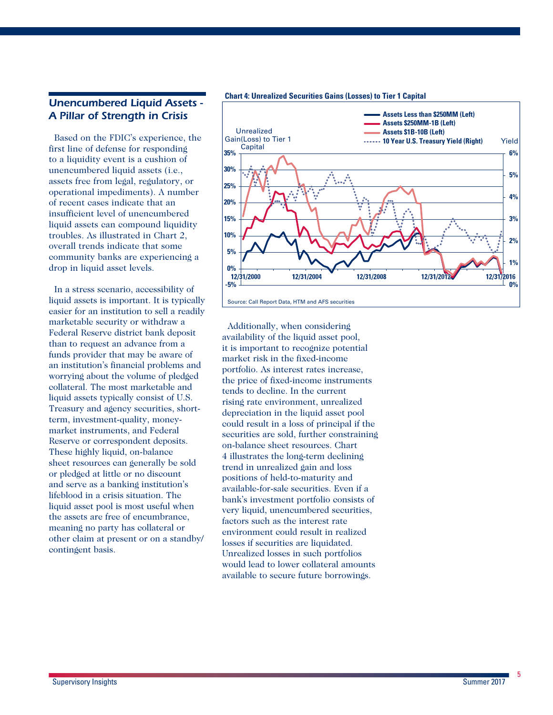### *Unencumbered Liquid Assets - A Pillar of Strength in Crisis*

Based on the FDIC's experience, the first line of defense for responding to a liquidity event is a cushion of unencumbered liquid assets (i.e., assets free from legal, regulatory, or operational impediments). A number of recent cases indicate that an insufficient level of unencumbered liquid assets can compound liquidity troubles. As illustrated in Chart 2, overall trends indicate that some community banks are experiencing a drop in liquid asset levels.

In a stress scenario, accessibility of liquid assets is important. It is typically easier for an institution to sell a readily marketable security or withdraw a Federal Reserve district bank deposit than to request an advance from a funds provider that may be aware of an institution's financial problems and worrying about the volume of pledged collateral. The most marketable and liquid assets typically consist of U.S. Treasury and agency securities, shortterm, investment-quality, moneymarket instruments, and Federal Reserve or correspondent deposits. These highly liquid, on-balance sheet resources can generally be sold or pledged at little or no discount and serve as a banking institution's lifeblood in a crisis situation. The liquid asset pool is most useful when the assets are free of encumbrance, meaning no party has collateral or other claim at present or on a standby/ contingent basis.

#### **Chart 4: Unrealized Securities Gains (Losses) to Tier 1 Capital**



Additionally, when considering availability of the liquid asset pool, it is important to recognize potential market risk in the fixed-income portfolio. As interest rates increase, the price of fixed-income instruments tends to decline. In the current rising rate environment, unrealized depreciation in the liquid asset pool could result in a loss of principal if the securities are sold, further constraining on-balance sheet resources. Chart 4 illustrates the long-term declining trend in unrealized gain and loss positions of held-to-maturity and available-for-sale securities. Even if a bank's investment portfolio consists of very liquid, unencumbered securities, factors such as the interest rate environment could result in realized losses if securities are liquidated. Unrealized losses in such portfolios would lead to lower collateral amounts available to secure future borrowings.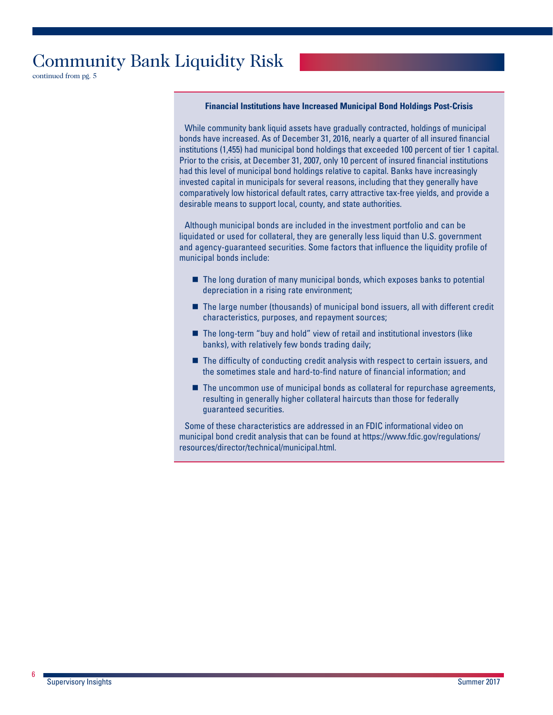continued from pg. 5

#### **Financial Institutions have Increased Municipal Bond Holdings Post-Crisis**

While community bank liquid assets have gradually contracted, holdings of municipal bonds have increased. As of December 31, 2016, nearly a quarter of all insured financial institutions (1,455) had municipal bond holdings that exceeded 100 percent of tier 1 capital. Prior to the crisis, at December 31, 2007, only 10 percent of insured financial institutions had this level of municipal bond holdings relative to capital. Banks have increasingly invested capital in municipals for several reasons, including that they generally have comparatively low historical default rates, carry attractive tax-free yields, and provide a desirable means to support local, county, and state authorities.

Although municipal bonds are included in the investment portfolio and can be liquidated or used for collateral, they are generally less liquid than U.S. government and agency-guaranteed securities. Some factors that influence the liquidity profile of municipal bonds include:

- The long duration of many municipal bonds, which exposes banks to potential depreciation in a rising rate environment;
- The large number (thousands) of municipal bond issuers, all with different credit characteristics, purposes, and repayment sources;
- The long-term "buy and hold" view of retail and institutional investors (like banks), with relatively few bonds trading daily;
- The difficulty of conducting credit analysis with respect to certain issuers, and the sometimes stale and hard-to-find nature of financial information; and
- The uncommon use of municipal bonds as collateral for repurchase agreements, resulting in generally higher collateral haircuts than those for federally guaranteed securities.

Some of these characteristics are addressed in an FDIC informational video on municipal bond credit analysis that can be found at [https://www.fdic.gov/regulations/](https://www.fdic.gov/regulations/resources/director/technical/municipal.html) [resources/director/technical/municipal.html](https://www.fdic.gov/regulations/resources/director/technical/municipal.html).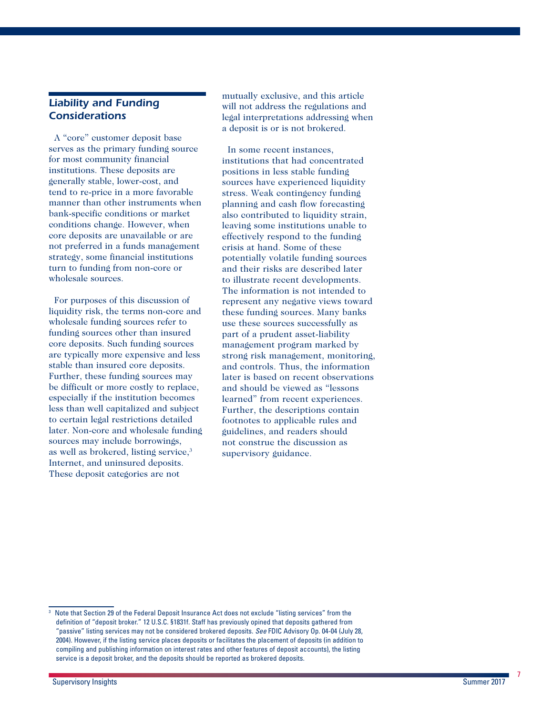### *Liability and Funding Considerations*

A "core" customer deposit base serves as the primary funding source for most community financial institutions. These deposits are generally stable, lower-cost, and tend to re-price in a more favorable manner than other instruments when bank-specific conditions or market conditions change. However, when core deposits are unavailable or are not preferred in a funds management strategy, some financial institutions turn to funding from non-core or wholesale sources.

For purposes of this discussion of liquidity risk, the terms non-core and wholesale funding sources refer to funding sources other than insured core deposits. Such funding sources are typically more expensive and less stable than insured core deposits. Further, these funding sources may be difficult or more costly to replace, especially if the institution becomes less than well capitalized and subject to certain legal restrictions detailed later. Non-core and wholesale funding sources may include borrowings, as well as brokered, listing service,<sup>3</sup> Internet, and uninsured deposits. These deposit categories are not

mutually exclusive, and this article will not address the regulations and legal interpretations addressing when a deposit is or is not brokered.

In some recent instances, institutions that had concentrated positions in less stable funding sources have experienced liquidity stress. Weak contingency funding planning and cash flow forecasting also contributed to liquidity strain, leaving some institutions unable to effectively respond to the funding crisis at hand. Some of these potentially volatile funding sources and their risks are described later to illustrate recent developments. The information is not intended to represent any negative views toward these funding sources. Many banks use these sources successfully as part of a prudent asset-liability management program marked by strong risk management, monitoring, and controls. Thus, the information later is based on recent observations and should be viewed as "lessons learned" from recent experiences. Further, the descriptions contain footnotes to applicable rules and guidelines, and readers should not construe the discussion as supervisory guidance.

<sup>3</sup> Note that Section 29 of the Federal Deposit Insurance Act does not exclude "listing services" from the definition of "deposit broker." 12 U.S.C. §1831f. Staff has previously opined that deposits gathered from "passive" listing services may not be considered brokered deposits. *See* FDIC Advisory Op. 04-04 (July 28, 2004). However, if the listing service places deposits or facilitates the placement of deposits (in addition to compiling and publishing information on interest rates and other features of deposit accounts), the listing service is a deposit broker, and the deposits should be reported as brokered deposits.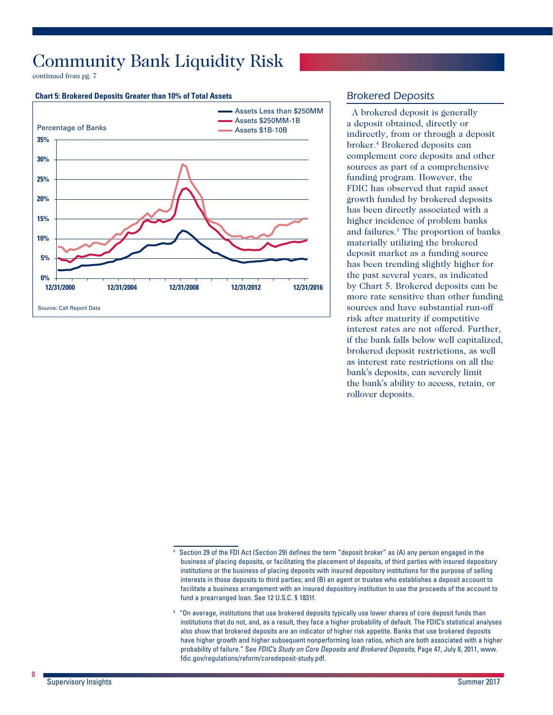continued from pg. 7

#### **Chart 5: Brokered Deposits Greater than 10% of Total Assets**



### *Brokered Deposits*

A brokered deposit is generally a deposit obtained, directly or indirectly, from or through a deposit broker.4 Brokered deposits can complement core deposits and other sources as part of a comprehensive funding program. However, the FDIC has observed that rapid asset growth funded by brokered deposits has been directly associated with a higher incidence of problem banks and failures.<sup>5</sup> The proportion of banks materially utilizing the brokered deposit market as a funding source has been trending slightly higher for the past several years, as indicated by Chart 5. Brokered deposits can be more rate sensitive than other funding sources and have substantial run-off risk after maturity if competitive interest rates are not offered. Further, if the bank falls below well capitalized, brokered deposit restrictions, as well as interest rate restrictions on all the bank's deposits, can severely limit the bank's ability to access, retain, or rollover deposits.

Section 29 of the FDI Act (Section 29) defines the term "deposit broker" as (A) any person engaged in the business of placing deposits, or facilitating the placement of deposits, of third parties with insured depository institutions or the business of placing deposits with insured depository institutions for the purpose of selling interests in those deposits to third parties; and (B) an agent or trustee who establishes a deposit account to facilitate a business arrangement with an insured depository institution to use the proceeds of the account to fund a prearranged loan. See 12 U.S.C. § 1831f.

 $5$  "On average, institutions that use brokered deposits typically use lower shares of core deposit funds than institutions that do not, and, as a result, they face a higher probability of default. The FDIC's statistical analyses also show that brokered deposits are an indicator of higher risk appetite. Banks that use brokered deposits have higher growth and higher subsequent nonperforming loan ratios, which are both associated with a higher probability of failure." See *FDIC's Study on Core Deposits and Brokered Deposits*, Page 47, July 8, 2011, [www.](http://www.fdic.gov/regulations/reform/coredeposit-study.pdf) [fdic.gov/regulations/reform/coredeposit-study.pdf](http://www.fdic.gov/regulations/reform/coredeposit-study.pdf).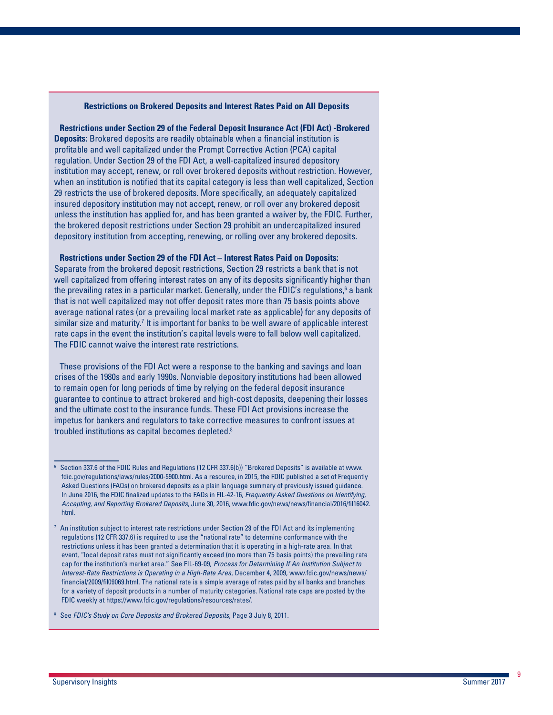#### **Restrictions on Brokered Deposits and Interest Rates Paid on All Deposits**

**Restrictions under Section 29 of the Federal Deposit Insurance Act (FDI Act) -Brokered Deposits:** Brokered deposits are readily obtainable when a financial institution is profitable and well capitalized under the Prompt Corrective Action (PCA) capital regulation. Under Section 29 of the FDI Act, a well-capitalized insured depository institution may accept, renew, or roll over brokered deposits without restriction. However, when an institution is notified that its capital category is less than well capitalized, Section 29 restricts the use of brokered deposits. More specifically, an adequately capitalized insured depository institution may not accept, renew, or roll over any brokered deposit unless the institution has applied for, and has been granted a waiver by, the FDIC. Further, the brokered deposit restrictions under Section 29 prohibit an undercapitalized insured depository institution from accepting, renewing, or rolling over any brokered deposits.

#### **Restrictions under Section 29 of the FDI Act – Interest Rates Paid on Deposits:**

Separate from the brokered deposit restrictions, Section 29 restricts a bank that is not well capitalized from offering interest rates on any of its deposits significantly higher than the prevailing rates in a particular market. Generally, under the FDIC's regulations, $^6$  a bank that is not well capitalized may not offer deposit rates more than 75 basis points above average national rates (or a prevailing local market rate as applicable) for any deposits of similar size and maturity.<sup>7</sup> It is important for banks to be well aware of applicable interest rate caps in the event the institution's capital levels were to fall below well capitalized. The FDIC cannot waive the interest rate restrictions.

These provisions of the FDI Act were a response to the banking and savings and loan crises of the 1980s and early 1990s. Nonviable depository institutions had been allowed to remain open for long periods of time by relying on the federal deposit insurance guarantee to continue to attract brokered and high-cost deposits, deepening their losses and the ultimate cost to the insurance funds. These FDI Act provisions increase the impetus for bankers and regulators to take corrective measures to confront issues at troubled institutions as capital becomes depleted.8

<sup>8</sup> See *FDIC's Study on Core Deposits and Brokered Deposits*, Page 3 July 8, 2011.

<sup>6</sup> Section 337.6 of the FDIC Rules and Regulations (12 CFR 337.6(b)) "Brokered Deposits" is available at www. fdic.gov/regulations/laws/rules/2000-5900.html. As a resource, in 2015, the FDIC published a set of Frequently Asked Questions (FAQs) on brokered deposits as a plain language summary of previously issued guidance. In June 2016, the FDIC finalized updates to the FAQs in FIL-42-16, *Frequently Asked Questions on Identifying, Accepting, and Reporting Brokered Deposits*, June 30, 2016, [www.fdic.gov/news/news/financial/2016/fil16042.](http://www.fdic.gov/news/news/financial/2016/fil16042.html) [html](http://www.fdic.gov/news/news/financial/2016/fil16042.html).

 $7$  An institution subject to interest rate restrictions under Section 29 of the FDI Act and its implementing regulations (12 CFR 337.6) is required to use the "national rate" to determine conformance with the restrictions unless it has been granted a determination that it is operating in a high-rate area. In that event, "local deposit rates must not significantly exceed (no more than 75 basis points) the prevailing rate cap for the institution's market area." See FIL-69-09, *Process for Determining If An Institution Subject to Interest-Rate Restrictions is Operating in a High-Rate Area*, December 4, 2009, [www.fdic.gov/news/news/](http://www.fdic.gov/news/news/financial/2009/fil09069.html) [financial/2009/fil09069.html](http://www.fdic.gov/news/news/financial/2009/fil09069.html). The national rate is a simple average of rates paid by all banks and branches for a variety of deposit products in a number of maturity categories. National rate caps are posted by the FDIC weekly at [https://www.fdic.gov/regulations/resources/rates/.](https://www.fdic.gov/regulations/resources/rates/)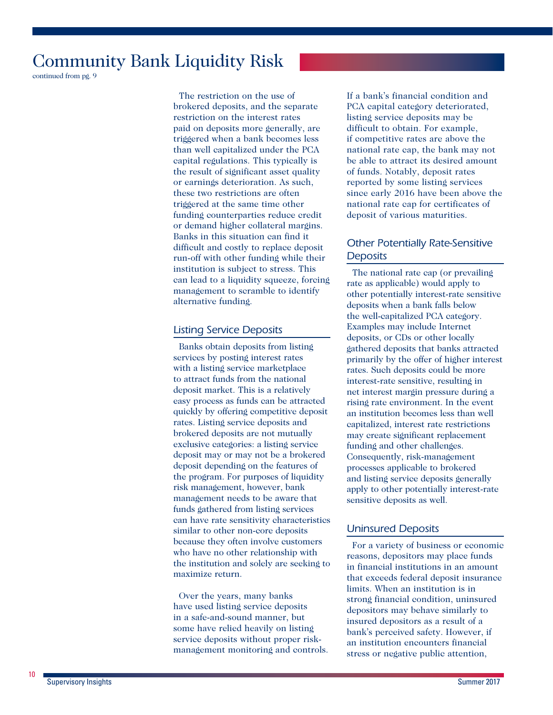continued from pg. 9

The restriction on the use of brokered deposits, and the separate restriction on the interest rates paid on deposits more generally, are triggered when a bank becomes less than well capitalized under the PCA capital regulations. This typically is the result of significant asset quality or earnings deterioration. As such, these two restrictions are often triggered at the same time other funding counterparties reduce credit or demand higher collateral margins. Banks in this situation can find it difficult and costly to replace deposit run-off with other funding while their institution is subject to stress. This can lead to a liquidity squeeze, forcing management to scramble to identify alternative funding.

### *Listing Service Deposits*

Banks obtain deposits from listing services by posting interest rates with a listing service marketplace to attract funds from the national deposit market. This is a relatively easy process as funds can be attracted quickly by offering competitive deposit rates. Listing service deposits and brokered deposits are not mutually exclusive categories: a listing service deposit may or may not be a brokered deposit depending on the features of the program. For purposes of liquidity risk management, however, bank management needs to be aware that funds gathered from listing services can have rate sensitivity characteristics similar to other non-core deposits because they often involve customers who have no other relationship with the institution and solely are seeking to maximize return.

Over the years, many banks have used listing service deposits in a safe-and-sound manner, but some have relied heavily on listing service deposits without proper riskmanagement monitoring and controls. If a bank's financial condition and PCA capital category deteriorated, listing service deposits may be difficult to obtain. For example, if competitive rates are above the national rate cap, the bank may not be able to attract its desired amount of funds. Notably, deposit rates reported by some listing services since early 2016 have been above the national rate cap for certificates of deposit of various maturities.

## *Other Potentially Rate-Sensitive Deposits*

The national rate cap (or prevailing rate as applicable) would apply to other potentially interest-rate sensitive deposits when a bank falls below the well-capitalized PCA category. Examples may include Internet deposits, or CDs or other locally gathered deposits that banks attracted primarily by the offer of higher interest rates. Such deposits could be more interest-rate sensitive, resulting in net interest margin pressure during a rising rate environment. In the event an institution becomes less than well capitalized, interest rate restrictions may create significant replacement funding and other challenges. Consequently, risk-management processes applicable to brokered and listing service deposits generally apply to other potentially interest-rate sensitive deposits as well.

### *Uninsured Deposits*

For a variety of business or economic reasons, depositors may place funds in financial institutions in an amount that exceeds federal deposit insurance limits. When an institution is in strong financial condition, uninsured depositors may behave similarly to insured depositors as a result of a bank's perceived safety. However, if an institution encounters financial stress or negative public attention,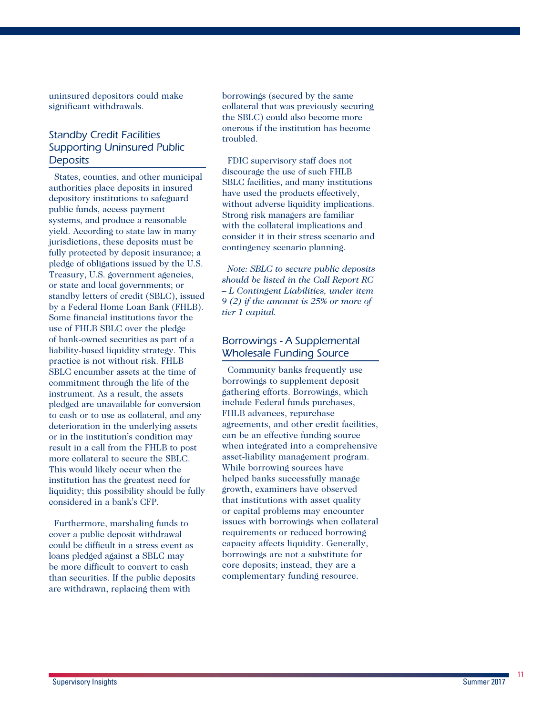uninsured depositors could make significant withdrawals.

## *Standby Credit Facilities Supporting Uninsured Public Deposits*

States, counties, and other municipal authorities place deposits in insured depository institutions to safeguard public funds, access payment systems, and produce a reasonable yield. According to state law in many jurisdictions, these deposits must be fully protected by deposit insurance; a pledge of obligations issued by the U.S. Treasury, U.S. government agencies, or state and local governments; or standby letters of credit (SBLC), issued by a Federal Home Loan Bank (FHLB). Some financial institutions favor the use of FHLB SBLC over the pledge of bank-owned securities as part of a liability-based liquidity strategy. This practice is not without risk. FHLB SBLC encumber assets at the time of commitment through the life of the instrument. As a result, the assets pledged are unavailable for conversion to cash or to use as collateral, and any deterioration in the underlying assets or in the institution's condition may result in a call from the FHLB to post more collateral to secure the SBLC. This would likely occur when the institution has the greatest need for liquidity; this possibility should be fully considered in a bank's CFP.

Furthermore, marshaling funds to cover a public deposit withdrawal could be difficult in a stress event as loans pledged against a SBLC may be more difficult to convert to cash than securities. If the public deposits are withdrawn, replacing them with

borrowings (secured by the same collateral that was previously securing the SBLC) could also become more onerous if the institution has become troubled.

FDIC supervisory staff does not discourage the use of such FHLB SBLC facilities, and many institutions have used the products effectively, without adverse liquidity implications. Strong risk managers are familiar with the collateral implications and consider it in their stress scenario and contingency scenario planning.

*Note: SBLC to secure public deposits should be listed in the Call Report RC – L Contingent Liabilities, under item 9 (2) if the amount is 25% or more of tier 1 capital.* 

### *Borrowings - A Supplemental Wholesale Funding Source*

Community banks frequently use borrowings to supplement deposit gathering efforts. Borrowings, which include Federal funds purchases, FHLB advances, repurchase agreements, and other credit facilities, can be an effective funding source when integrated into a comprehensive asset-liability management program. While borrowing sources have helped banks successfully manage growth, examiners have observed that institutions with asset quality or capital problems may encounter issues with borrowings when collateral requirements or reduced borrowing capacity affects liquidity. Generally, borrowings are not a substitute for core deposits; instead, they are a complementary funding resource.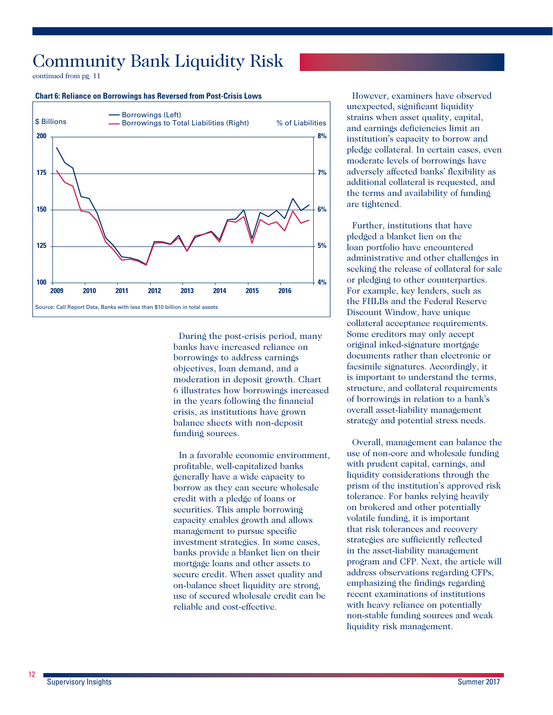continued from pg. 11

#### **Chart 6: Reliance on Borrowings has Reversed from Post-Crisis Lows**



During the post-crisis period, many banks have increased reliance on borrowings to address earnings objectives, loan demand, and a moderation in deposit growth. Chart 6 illustrates how borrowings increased in the years following the financial crisis, as institutions have grown balance sheets with non-deposit funding sources.

In a favorable economic environment, profitable, well-capitalized banks generally have a wide capacity to borrow as they can secure wholesale credit with a pledge of loans or securities. This ample borrowing capacity enables growth and allows management to pursue specific investment strategies. In some cases, banks provide a blanket lien on their mortgage loans and other assets to secure credit. When asset quality and on-balance sheet liquidity are strong, use of secured wholesale credit can be reliable and cost-effective.

However, examiners have observed unexpected, significant liquidity strains when asset quality, capital, and earnings deficiencies limit an institution's capacity to borrow and pledge collateral. In certain cases, even moderate levels of borrowings have adversely affected banks' flexibility as additional collateral is requested, and the terms and availability of funding are tightened.

Further, institutions that have pledged a blanket lien on the loan portfolio have encountered administrative and other challenges in seeking the release of collateral for sale or pledging to other counterparties. For example, key lenders, such as the FHLBs and the Federal Reserve Discount Window, have unique collateral acceptance requirements. Some creditors may only accept original inked-signature mortgage documents rather than electronic or facsimile signatures. Accordingly, it is important to understand the terms, structure, and collateral requirements of borrowings in relation to a bank's overall asset-liability management strategy and potential stress needs.

Overall, management can balance the use of non-core and wholesale funding with prudent capital, earnings, and liquidity considerations through the prism of the institution's approved risk tolerance. For banks relying heavily on brokered and other potentially volatile funding, it is important that risk tolerances and recovery strategies are sufficiently reflected in the asset-liability management program and CFP. Next, the article will address observations regarding CFPs, emphasizing the findings regarding recent examinations of institutions with heavy reliance on potentially non-stable funding sources and weak liquidity risk management.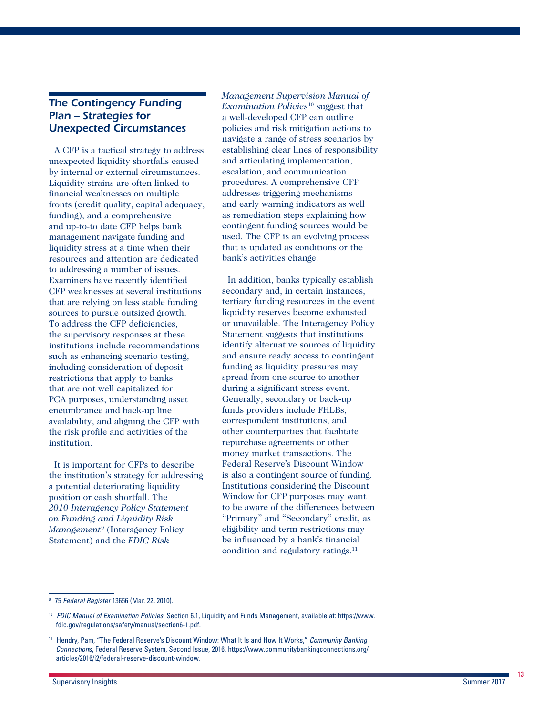## *The Contingency Funding Plan – Strategies for Unexpected Circumstances*

A CFP is a tactical strategy to address unexpected liquidity shortfalls caused by internal or external circumstances. Liquidity strains are often linked to financial weaknesses on multiple fronts (credit quality, capital adequacy, funding), and a comprehensive and up-to-to date CFP helps bank management navigate funding and liquidity stress at a time when their resources and attention are dedicated to addressing a number of issues. Examiners have recently identified CFP weaknesses at several institutions that are relying on less stable funding sources to pursue outsized growth. To address the CFP deficiencies, the supervisory responses at these institutions include recommendations such as enhancing scenario testing, including consideration of deposit restrictions that apply to banks that are not well capitalized for PCA purposes, understanding asset encumbrance and back-up line availability, and aligning the CFP with the risk profile and activities of the institution.

It is important for CFPs to describe the institution's strategy for addressing a potential deteriorating liquidity position or cash shortfall. The *2010 Interagency Policy Statement on Funding and Liquidity Risk Management*<sup>9</sup> (Interagency Policy Statement) and the *FDIC Risk* 

*Management Supervision Manual of Examination Policies*10 suggest that a well-developed CFP can outline policies and risk mitigation actions to navigate a range of stress scenarios by establishing clear lines of responsibility and articulating implementation, escalation, and communication procedures. A comprehensive CFP addresses triggering mechanisms and early warning indicators as well as remediation steps explaining how contingent funding sources would be used. The CFP is an evolving process that is updated as conditions or the bank's activities change.

In addition, banks typically establish secondary and, in certain instances, tertiary funding resources in the event liquidity reserves become exhausted or unavailable. The Interagency Policy Statement suggests that institutions identify alternative sources of liquidity and ensure ready access to contingent funding as liquidity pressures may spread from one source to another during a significant stress event. Generally, secondary or back-up funds providers include FHLBs, correspondent institutions, and other counterparties that facilitate repurchase agreements or other money market transactions. The Federal Reserve's Discount Window is also a contingent source of funding. Institutions considering the Discount Window for CFP purposes may want to be aware of the differences between "Primary" and "Secondary" credit, as eligibility and term restrictions may be influenced by a bank's financial condition and regulatory ratings.<sup>11</sup>

<sup>9</sup> 75 *Federal Register* 13656 (Mar. 22, 2010).

<sup>10</sup> *FDIC Manual of Examination Policies*, Section 6.1, Liquidity and Funds Management, available at: [https://www.](https://www.fdic.gov/regulations/safety/manual/section6-1.pdf) [fdic.gov/regulations/safety/manual/section6-1.pdf.](https://www.fdic.gov/regulations/safety/manual/section6-1.pdf)

<sup>11</sup> Hendry, Pam, "The Federal Reserve's Discount Window: What It Is and How It Works," *Community Banking Connection*s, Federal Reserve System, Second Issue, 2016. [https://www.communitybankingconnections.org/](https://www.communitybankingconnections.org/articles/2016/i2/federal-reserve-discount-window) [articles/2016/i2/federal-reserve-discount-window.](https://www.communitybankingconnections.org/articles/2016/i2/federal-reserve-discount-window)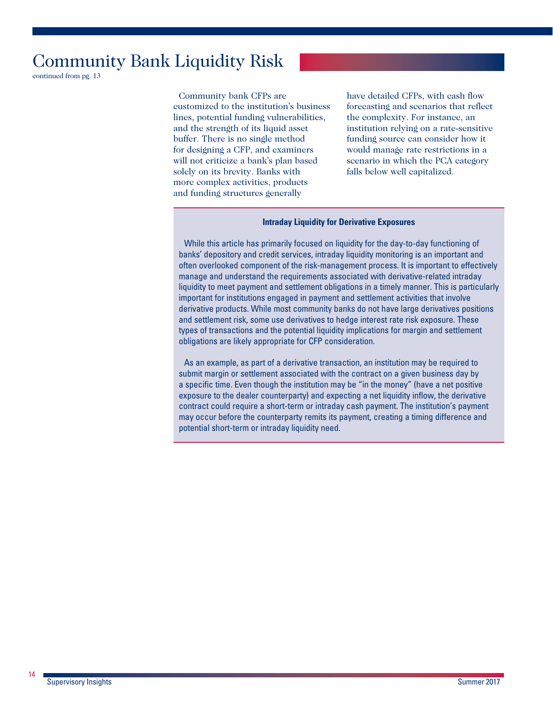continued from pg. 13

Community bank CFPs are customized to the institution's business lines, potential funding vulnerabilities, and the strength of its liquid asset buffer. There is no single method for designing a CFP, and examiners will not criticize a bank's plan based solely on its brevity. Banks with more complex activities, products and funding structures generally

have detailed CFPs, with cash flow forecasting and scenarios that reflect the complexity. For instance, an institution relying on a rate-sensitive funding source can consider how it would manage rate restrictions in a scenario in which the PCA category falls below well capitalized.

#### **Intraday Liquidity for Derivative Exposures**

While this article has primarily focused on liquidity for the day-to-day functioning of banks' depository and credit services, intraday liquidity monitoring is an important and often overlooked component of the risk-management process. It is important to effectively manage and understand the requirements associated with derivative-related intraday liquidity to meet payment and settlement obligations in a timely manner. This is particularly important for institutions engaged in payment and settlement activities that involve derivative products. While most community banks do not have large derivatives positions and settlement risk, some use derivatives to hedge interest rate risk exposure. These types of transactions and the potential liquidity implications for margin and settlement obligations are likely appropriate for CFP consideration.

As an example, as part of a derivative transaction, an institution may be required to submit margin or settlement associated with the contract on a given business day by a specific time. Even though the institution may be "in the money" (have a net positive exposure to the dealer counterparty) and expecting a net liquidity inflow, the derivative contract could require a short-term or intraday cash payment. The institution's payment may occur before the counterparty remits its payment, creating a timing difference and potential short-term or intraday liquidity need.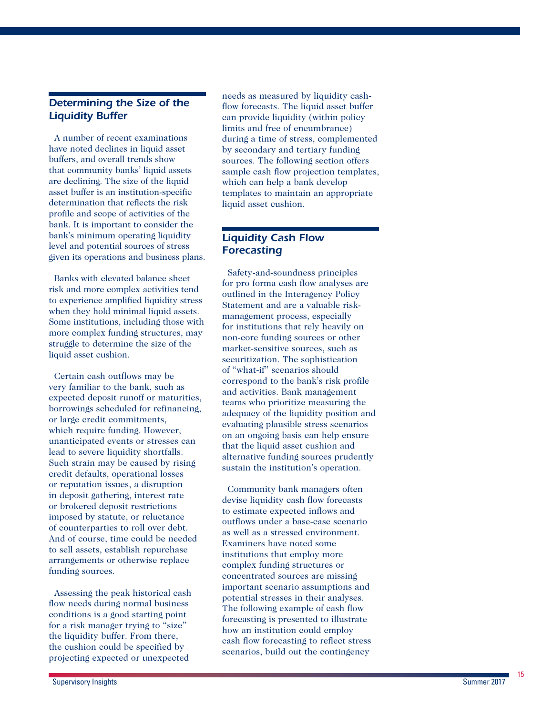## *Determining the Size of the Liquidity Buffer*

A number of recent examinations have noted declines in liquid asset buffers, and overall trends show that community banks' liquid assets are declining. The size of the liquid asset buffer is an institution-specific determination that reflects the risk profile and scope of activities of the bank. It is important to consider the bank's minimum operating liquidity level and potential sources of stress given its operations and business plans.

Banks with elevated balance sheet risk and more complex activities tend to experience amplified liquidity stress when they hold minimal liquid assets. Some institutions, including those with more complex funding structures, may struggle to determine the size of the liquid asset cushion.

Certain cash outflows may be very familiar to the bank, such as expected deposit runoff or maturities, borrowings scheduled for refinancing, or large credit commitments, which require funding. However, unanticipated events or stresses can lead to severe liquidity shortfalls. Such strain may be caused by rising credit defaults, operational losses or reputation issues, a disruption in deposit gathering, interest rate or brokered deposit restrictions imposed by statute, or reluctance of counterparties to roll over debt. And of course, time could be needed to sell assets, establish repurchase arrangements or otherwise replace funding sources.

Assessing the peak historical cash flow needs during normal business conditions is a good starting point for a risk manager trying to "size" the liquidity buffer. From there, the cushion could be specified by projecting expected or unexpected

needs as measured by liquidity cashflow forecasts. The liquid asset buffer can provide liquidity (within policy limits and free of encumbrance) during a time of stress, complemented by secondary and tertiary funding sources. The following section offers sample cash flow projection templates, which can help a bank develop templates to maintain an appropriate liquid asset cushion.

## *Liquidity Cash Flow Forecasting*

Safety-and-soundness principles for pro forma cash flow analyses are outlined in the Interagency Policy Statement and are a valuable riskmanagement process, especially for institutions that rely heavily on non-core funding sources or other market-sensitive sources, such as securitization. The sophistication of "what-if" scenarios should correspond to the bank's risk profile and activities. Bank management teams who prioritize measuring the adequacy of the liquidity position and evaluating plausible stress scenarios on an ongoing basis can help ensure that the liquid asset cushion and alternative funding sources prudently sustain the institution's operation.

Community bank managers often devise liquidity cash flow forecasts to estimate expected inflows and outflows under a base-case scenario as well as a stressed environment. Examiners have noted some institutions that employ more complex funding structures or concentrated sources are missing important scenario assumptions and potential stresses in their analyses. The following example of cash flow forecasting is presented to illustrate how an institution could employ cash flow forecasting to reflect stress scenarios, build out the contingency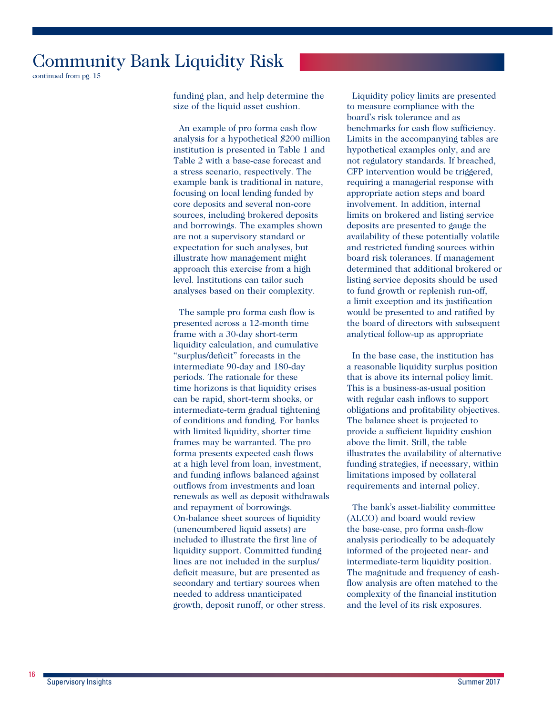continued from pg. 15

funding plan, and help determine the size of the liquid asset cushion.

An example of pro forma cash flow analysis for a hypothetical \$200 million institution is presented in Table 1 and Table 2 with a base-case forecast and a stress scenario, respectively. The example bank is traditional in nature, focusing on local lending funded by core deposits and several non-core sources, including brokered deposits and borrowings. The examples shown are not a supervisory standard or expectation for such analyses, but illustrate how management might approach this exercise from a high level. Institutions can tailor such analyses based on their complexity.

The sample pro forma cash flow is presented across a 12-month time frame with a 30-day short-term liquidity calculation, and cumulative "surplus/deficit" forecasts in the intermediate 90-day and 180-day periods. The rationale for these time horizons is that liquidity crises can be rapid, short-term shocks, or intermediate-term gradual tightening of conditions and funding. For banks with limited liquidity, shorter time frames may be warranted. The pro forma presents expected cash flows at a high level from loan, investment, and funding inflows balanced against outflows from investments and loan renewals as well as deposit withdrawals and repayment of borrowings. On-balance sheet sources of liquidity (unencumbered liquid assets) are included to illustrate the first line of liquidity support. Committed funding lines are not included in the surplus/ deficit measure, but are presented as secondary and tertiary sources when needed to address unanticipated growth, deposit runoff, or other stress.

Liquidity policy limits are presented to measure compliance with the board's risk tolerance and as benchmarks for cash flow sufficiency. Limits in the accompanying tables are hypothetical examples only, and are not regulatory standards. If breached, CFP intervention would be triggered, requiring a managerial response with appropriate action steps and board involvement. In addition, internal limits on brokered and listing service deposits are presented to gauge the availability of these potentially volatile and restricted funding sources within board risk tolerances. If management determined that additional brokered or listing service deposits should be used to fund growth or replenish run-off, a limit exception and its justification would be presented to and ratified by the board of directors with subsequent analytical follow-up as appropriate

In the base case, the institution has a reasonable liquidity surplus position that is above its internal policy limit. This is a business-as-usual position with regular cash inflows to support obligations and profitability objectives. The balance sheet is projected to provide a sufficient liquidity cushion above the limit. Still, the table illustrates the availability of alternative funding strategies, if necessary, within limitations imposed by collateral requirements and internal policy.

The bank's asset-liability committee (ALCO) and board would review the base-case, pro forma cash-flow analysis periodically to be adequately informed of the projected near- and intermediate-term liquidity position. The magnitude and frequency of cashflow analysis are often matched to the complexity of the financial institution and the level of its risk exposures.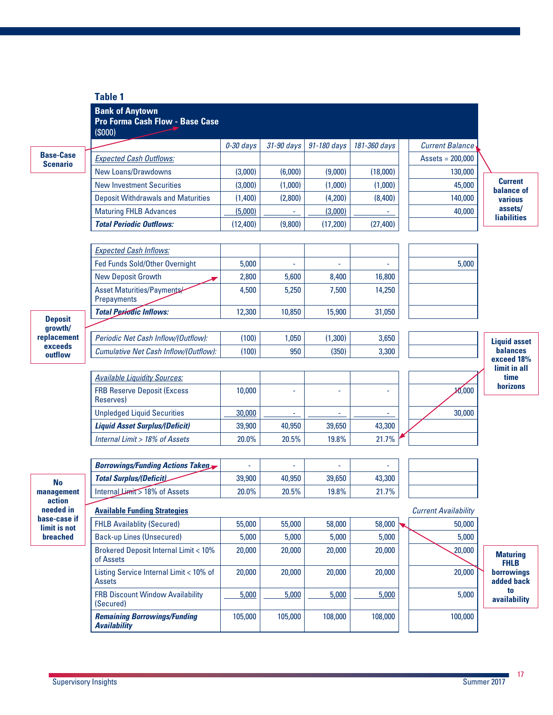|                                     | <b>Table 1</b>                                                             |                |            |             |              |                             |                                         |
|-------------------------------------|----------------------------------------------------------------------------|----------------|------------|-------------|--------------|-----------------------------|-----------------------------------------|
|                                     | <b>Bank of Anytown</b><br><b>Pro Forma Cash Flow - Base Case</b><br>(S000) |                |            |             |              |                             |                                         |
|                                     |                                                                            | 0-30 days      | 31-90 days | 91-180 days | 181-360 days | <b>Current Balance</b>      |                                         |
| <b>Base-Case</b><br><b>Scenario</b> | <b>Expected Cash Outflows:</b>                                             |                |            |             |              | $Assets = 200,000$          |                                         |
|                                     | <b>New Loans/Drawdowns</b>                                                 | (3,000)        | (6,000)    | (9,000)     | (18,000)     | 130,000                     |                                         |
|                                     | <b>New Investment Securities</b>                                           | (3,000)        | (1,000)    | (1,000)     | (1,000)      | 45,000                      | <b>Current</b><br>balance of            |
|                                     | <b>Deposit Withdrawals and Maturities</b>                                  | (1,400)        | (2,800)    | (4,200)     | (8,400)      | 140,000                     | various                                 |
|                                     | <b>Maturing FHLB Advances</b>                                              | (5,000)        |            | (3,000)     |              | 40,000                      | assets/                                 |
|                                     | <b>Total Periodic Outflows:</b>                                            | (12,400)       | (9,800)    | (17, 200)   | (27, 400)    |                             | <b>liabilities</b>                      |
|                                     |                                                                            |                |            |             |              |                             |                                         |
|                                     | <b>Expected Cash Inflows:</b>                                              |                |            |             |              |                             |                                         |
|                                     | Fed Funds Sold/Other Overnight                                             | 5,000          |            |             |              | 5,000                       |                                         |
|                                     | <b>New Deposit Growth</b>                                                  | 2,800          | 5,600      | 8,400       | 16,800       |                             |                                         |
|                                     | Asset Maturities/Payments/<br>Prepayments                                  | 4,500          | 5,250      | 7,500       | 14,250       |                             |                                         |
| <b>Deposit</b>                      | <b>Total Periodic Inflows:</b>                                             | 12,300         | 10,850     | 15,900      | 31,050       |                             |                                         |
| growth/                             |                                                                            |                |            |             |              |                             |                                         |
| replacement                         | Periodic Net Cash Inflow/(Outflow):                                        | (100)          | 1,050      | (1,300)     | 3,650        |                             | <b>Liquid asset</b>                     |
| exceeds<br>outflow                  | Cumulative Net Cash Inflow/(Outflow):                                      | (100)          | 950        | (350)       | 3,300        |                             | <b>balances</b><br>exceed 18%           |
|                                     | <b>Available Liquidity Sources:</b>                                        |                |            |             |              |                             | limit in all<br>time                    |
|                                     | <b>FRB Reserve Deposit (Excess</b><br>Reserves)                            | 10,000         |            |             |              | 10,000                      | horizons                                |
|                                     | <b>Unpledged Liquid Securities</b>                                         | 30,000         |            |             |              | 30,000                      |                                         |
|                                     | <b>Liquid Asset Surplus/(Deficit)</b>                                      | 39,900         | 40,950     | 39,650      | 43,300       |                             |                                         |
|                                     | Internal Limit > 18% of Assets                                             | 20.0%          | 20.5%      | 19.8%       | 21.7%        |                             |                                         |
|                                     |                                                                            |                |            |             |              |                             |                                         |
|                                     | <b>Borrowings/Funding Actions Taken</b>                                    | $\blacksquare$ |            | $\sim$      | L,           |                             |                                         |
| <b>No</b>                           | <b>Total Surplus/(Deficit)</b>                                             | 39,900         | 40,950     | 39,650      | 43,300       |                             |                                         |
| management                          | Internal Limit > 18% of Assets                                             | 20.0%          | 20.5%      | 19.8%       | 21.7%        |                             |                                         |
| action<br>needed in                 | <b>Available Funding Strategies</b>                                        |                |            |             |              | <b>Current Availability</b> |                                         |
| base-case if<br>limit is not        | <b>FHLB Availablity (Secured)</b>                                          | 55,000         | 55,000     | 58,000      | 58,000       | 50,000                      |                                         |
| breached                            | <b>Back-up Lines (Unsecured)</b>                                           | 5,000          | 5,000      | 5,000       | 5,000        | 5,000                       |                                         |
|                                     | <b>Brokered Deposit Internal Limit &lt; 10%</b><br>of Assets               | 20,000         | 20,000     | 20,000      | 20,000       | 20,000                      | <b>Maturing</b>                         |
|                                     | Listing Service Internal Limit < 10% of<br><b>Assets</b>                   | 20,000         | 20,000     | 20,000      | 20,000       | 20,000                      | <b>FHLB</b><br>borrowings<br>added back |
|                                     | <b>FRB Discount Window Availability</b><br>(Secured)                       | 5,000          | 5,000      | 5,000       | 5,000        | 5,000                       | to<br>availability                      |
|                                     | <b>Remaining Borrowings/Funding</b><br><b>Availability</b>                 | 105,000        | 105,000    | 108,000     | 108,000      | 100,000                     |                                         |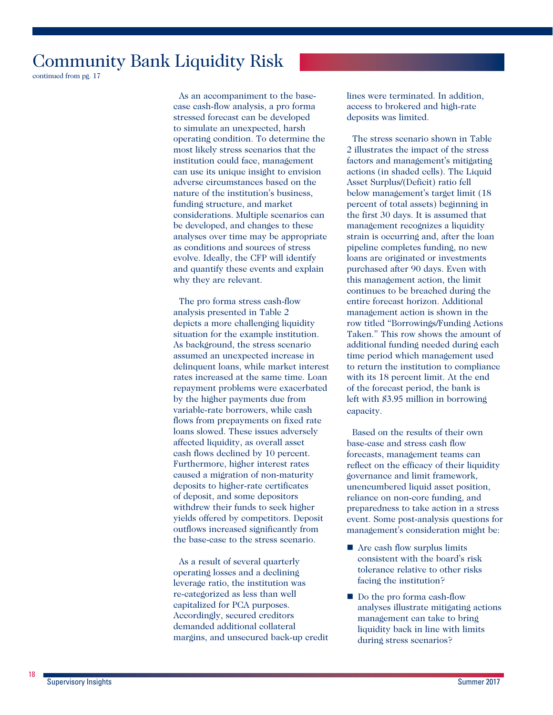continued from pg. 17

As an accompaniment to the basecase cash-flow analysis, a pro forma stressed forecast can be developed to simulate an unexpected, harsh operating condition. To determine the most likely stress scenarios that the institution could face, management can use its unique insight to envision adverse circumstances based on the nature of the institution's business, funding structure, and market considerations. Multiple scenarios can be developed, and changes to these analyses over time may be appropriate as conditions and sources of stress evolve. Ideally, the CFP will identify and quantify these events and explain why they are relevant.

The pro forma stress cash-flow analysis presented in Table 2 depicts a more challenging liquidity situation for the example institution. As background, the stress scenario assumed an unexpected increase in delinquent loans, while market interest rates increased at the same time. Loan repayment problems were exacerbated by the higher payments due from variable-rate borrowers, while cash flows from prepayments on fixed rate loans slowed. These issues adversely affected liquidity, as overall asset cash flows declined by 10 percent. Furthermore, higher interest rates caused a migration of non-maturity deposits to higher-rate certificates of deposit, and some depositors withdrew their funds to seek higher yields offered by competitors. Deposit outflows increased significantly from the base-case to the stress scenario.

As a result of several quarterly operating losses and a declining leverage ratio, the institution was re-categorized as less than well capitalized for PCA purposes. Accordingly, secured creditors demanded additional collateral margins, and unsecured back-up credit lines were terminated. In addition, access to brokered and high-rate deposits was limited.

The stress scenario shown in Table 2 illustrates the impact of the stress factors and management's mitigating actions (in shaded cells). The Liquid Asset Surplus/(Deficit) ratio fell below management's target limit (18 percent of total assets) beginning in the first 30 days. It is assumed that management recognizes a liquidity strain is occurring and, after the loan pipeline completes funding, no new loans are originated or investments purchased after 90 days. Even with this management action, the limit continues to be breached during the entire forecast horizon. Additional management action is shown in the row titled "Borrowings/Funding Actions Taken." This row shows the amount of additional funding needed during each time period which management used to return the institution to compliance with its 18 percent limit. At the end of the forecast period, the bank is left with \$3.95 million in borrowing capacity.

Based on the results of their own base-case and stress cash flow forecasts, management teams can reflect on the efficacy of their liquidity governance and limit framework, unencumbered liquid asset position, reliance on non-core funding, and preparedness to take action in a stress event. Some post-analysis questions for management's consideration might be:

- Are cash flow surplus limits consistent with the board's risk tolerance relative to other risks facing the institution?
- Do the pro forma eash-flow analyses illustrate mitigating actions management can take to bring liquidity back in line with limits during stress scenarios?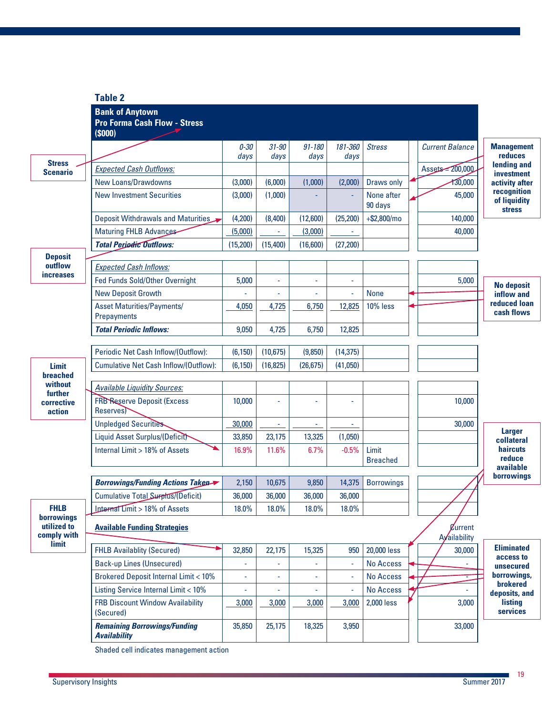|                                  | <b>Table 2</b>                                                                 |                  |                   |                    |                          |                          |                        |                                              |
|----------------------------------|--------------------------------------------------------------------------------|------------------|-------------------|--------------------|--------------------------|--------------------------|------------------------|----------------------------------------------|
|                                  | <b>Bank of Anytown</b><br><b>Pro Forma Cash Flow - Stress</b><br>$($ \$000 $)$ |                  |                   |                    |                          |                          |                        |                                              |
|                                  |                                                                                | $0 - 30$<br>days | $31 - 90$<br>days | $91 - 180$<br>days | 181-360<br>days          | <b>Stress</b>            | <b>Current Balance</b> | <b>Management</b><br>reduces                 |
| <b>Stress</b><br><b>Scenario</b> | <b>Expected Cash Outflows:</b>                                                 |                  |                   |                    |                          |                          | Assets = 200,000       | lending and<br>investment                    |
|                                  | New Loans/Drawdowns                                                            | (3,000)          | (6,000)           | (1,000)            | (2,000)                  | Draws only               | 130,000                | activity after                               |
|                                  | <b>New Investment Securities</b>                                               | (3,000)          | (1,000)           |                    |                          | None after<br>90 days    | 45,000                 | recognition<br>of liquidity<br><b>stress</b> |
|                                  | Deposit Withdrawals and Maturities                                             | (4,200)          | (8,400)           | (12,600)           | (25, 200)                | $+$ \$2,800/mo           | 140,000                |                                              |
|                                  | <b>Maturing FHLB Advances</b>                                                  | (5,000)          | ÷,                | (3,000)            | $\overline{\phantom{a}}$ |                          | 40,000                 |                                              |
|                                  | <b>Total Periodic Outflows:</b>                                                | (15, 200)        | (15,400)          | (16,600)           | (27, 200)                |                          |                        |                                              |
| <b>Deposit</b>                   |                                                                                |                  |                   |                    |                          |                          |                        |                                              |
| outflow<br><i>increases</i>      | <b>Expected Cash Inflows:</b>                                                  |                  |                   |                    |                          |                          |                        |                                              |
|                                  | Fed Funds Sold/Other Overnight                                                 | 5,000            | ä,                | ä,                 | ä,                       |                          | 5,000                  | <b>No deposit</b>                            |
|                                  | <b>New Deposit Growth</b>                                                      |                  |                   |                    | ä,                       | <b>None</b>              |                        | inflow and                                   |
|                                  | <b>Asset Maturities/Payments/</b><br>Prepayments                               | 4,050            | 4,725             | 6,750              | 12,825                   | 10% less                 |                        | reduced loan<br>cash flows                   |
|                                  | <b>Total Periodic Inflows:</b>                                                 | 9,050            | 4,725             | 6,750              | 12,825                   |                          |                        |                                              |
|                                  | Periodic Net Cash Inflow/(Outflow):                                            | (6, 150)         | (10, 675)         | (9,850)            | (14, 375)                |                          |                        |                                              |
| <b>Limit</b>                     | Cumulative Net Cash Inflow/(Outflow):                                          | (6, 150)         | (16, 825)         | (26, 675)          | (41,050)                 |                          |                        |                                              |
| breached<br>without              |                                                                                |                  |                   |                    |                          |                          |                        |                                              |
| further                          | <b>Available Liquidity Sources:</b>                                            |                  |                   |                    |                          |                          |                        |                                              |
| corrective<br>action             | <b>FRB Reserve Deposit (Excess</b><br><b>Reserves</b>                          | 10,000           | Ĺ,                | ÷,                 | L,                       |                          | 10,000                 |                                              |
|                                  | <b>Unpledged Securities</b>                                                    | 30,000           | ÷                 |                    |                          |                          | 30,000                 | <b>Larger</b>                                |
|                                  | Liquid Asset Surplus/(Deficit)                                                 | 33,850           | 23,175            | 13,325             | (1,050)                  |                          |                        | collateral                                   |
|                                  | Internal Limit > 18% of Assets                                                 | 16.9%            | 11.6%             | 6.7%               | $-0.5%$                  | Limit<br><b>Breached</b> |                        | <b>haircuts</b><br>reduce<br>available       |
|                                  | Borrowings/Funding Actions Taken                                               | 2,150            | 10,675            | 9,850              | 14,375                   | <b>Borrowings</b>        |                        | borrowings                                   |
|                                  | Cumulative Total Surplus/(Deficit)                                             | 36,000           | 36,000            | 36,000             | 36,000                   |                          |                        |                                              |
| <b>FHLB</b>                      | Internal Limit > 18% of Assets                                                 | 18.0%            | 18.0%             | 18.0%              | 18.0%                    |                          |                        |                                              |
| borrowings<br>utilized to        | <b>Available Funding Strategies</b>                                            |                  |                   |                    |                          |                          | <i><b>Zurrent</b></i>  |                                              |
| comply with                      |                                                                                |                  |                   |                    |                          |                          | Ayailability           |                                              |
| limit                            | <b>FHLB Availablity (Secured)</b>                                              | 32,850           | 22,175            | 15,325             | 950                      | 20,000 less              | 30,000                 | <b>Eliminated</b>                            |
|                                  | <b>Back-up Lines (Unsecured)</b>                                               |                  |                   |                    |                          | <b>No Access</b>         |                        | access to<br>unsecured                       |
|                                  | <b>Brokered Deposit Internal Limit &lt; 10%</b>                                | ä,               | ÷                 | ٠                  | ÷,                       | <b>No Access</b>         |                        | borrowings,                                  |
|                                  | Listing Service Internal Limit < 10%                                           |                  |                   | ÷,                 | ä,                       | <b>No Access</b>         |                        | brokered<br>deposits, and                    |
|                                  | <b>FRB Discount Window Availability</b><br>(Secured)                           | 3,000            | 3,000             | 3,000              | 3,000                    | 2,000 less               | 3,000                  | listing<br>services                          |
|                                  | <b>Remaining Borrowings/Funding</b><br><b>Availability</b>                     | 35,850           | 25,175            | 18,325             | 3,950                    |                          | 33,000                 |                                              |

Shaded cell indicates management action